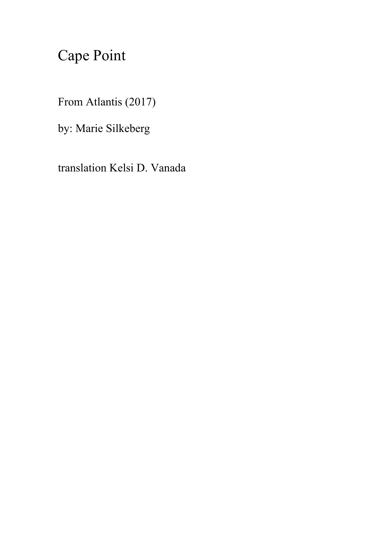## Cape Point

From Atlantis (2017)

by: Marie Silkeberg

translation Kelsi D. Vanada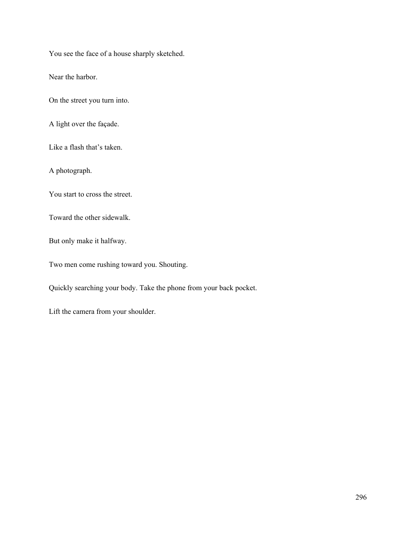You see the face of a house sharply sketched.

Near the harbor.

On the street you turn into.

A light over the façade.

Like a flash that's taken.

A photograph.

You start to cross the street.

Toward the other sidewalk.

But only make it halfway.

Two men come rushing toward you. Shouting.

Quickly searching your body. Take the phone from your back pocket.

Lift the camera from your shoulder.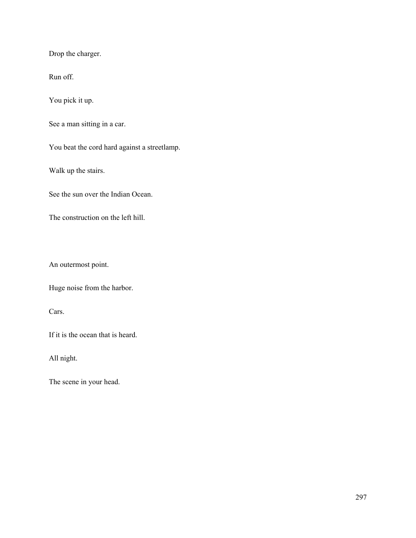Drop the charger.

Run off.

You pick it up.

See a man sitting in a car.

You beat the cord hard against a streetlamp.

Walk up the stairs.

See the sun over the Indian Ocean.

The construction on the left hill.

An outermost point.

Huge noise from the harbor.

Cars.

If it is the ocean that is heard.

All night.

The scene in your head.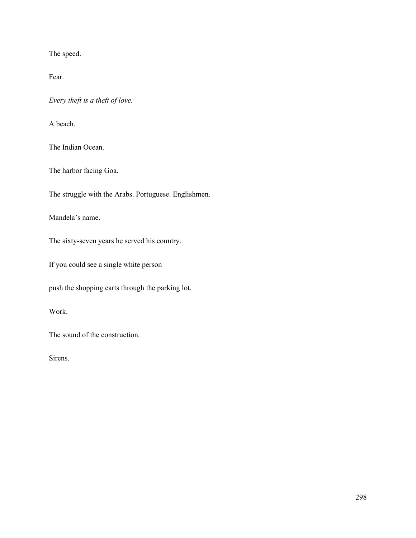The speed.

Fear.

*Every theft is a theft of love.*

A beach.

The Indian Ocean.

The harbor facing Goa.

The struggle with the Arabs. Portuguese. Englishmen.

Mandela's name.

The sixty-seven years he served his country.

If you could see a single white person

push the shopping carts through the parking lot.

Work.

The sound of the construction.

Sirens.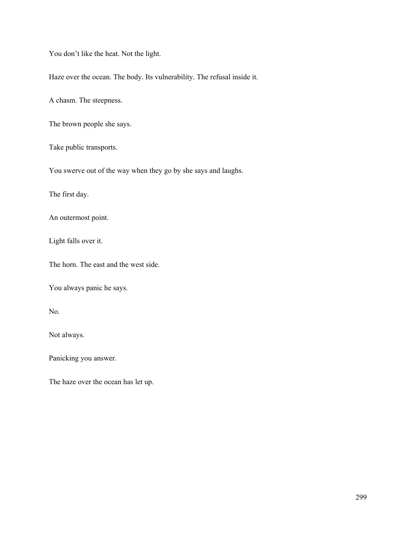You don't like the heat. Not the light.

Haze over the ocean. The body. Its vulnerability. The refusal inside it.

A chasm. The steepness.

The brown people she says.

Take public transports.

You swerve out of the way when they go by she says and laughs.

The first day.

An outermost point.

Light falls over it.

The horn. The east and the west side.

You always panic he says.

No.

Not always.

Panicking you answer.

The haze over the ocean has let up.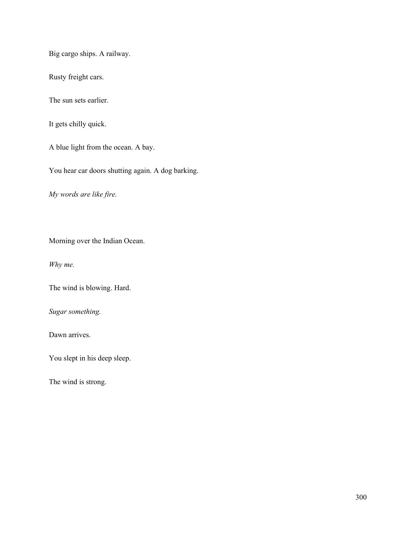Big cargo ships. A railway.

Rusty freight cars.

The sun sets earlier.

It gets chilly quick.

A blue light from the ocean. A bay.

You hear car doors shutting again. A dog barking.

*My words are like fire.*

Morning over the Indian Ocean.

*Why me.*

The wind is blowing. Hard.

*Sugar something.*

Dawn arrives.

You slept in his deep sleep.

The wind is strong.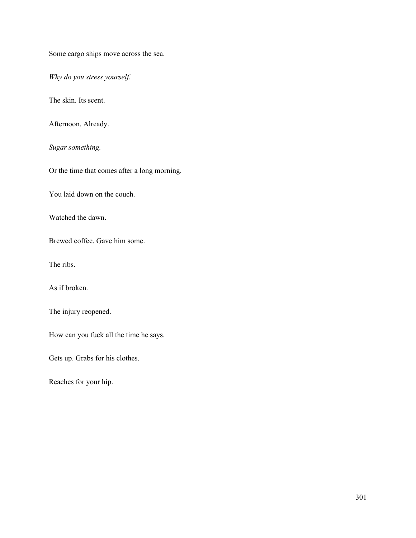Some cargo ships move across the sea.

*Why do you stress yourself.*

The skin. Its scent.

Afternoon. Already.

*Sugar something.*

Or the time that comes after a long morning.

You laid down on the couch.

Watched the dawn.

Brewed coffee. Gave him some.

The ribs.

As if broken.

The injury reopened.

How can you fuck all the time he says.

Gets up. Grabs for his clothes.

Reaches for your hip.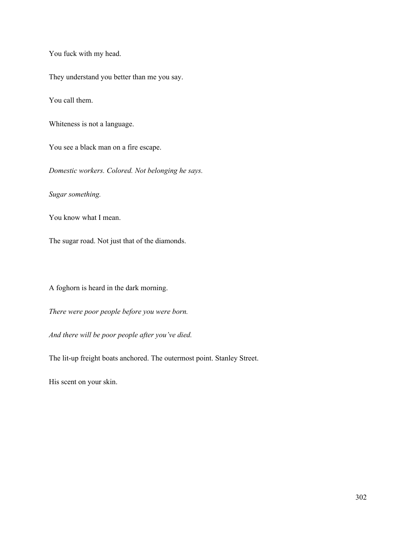You fuck with my head.

They understand you better than me you say.

You call them.

Whiteness is not a language.

You see a black man on a fire escape.

*Domestic workers. Colored. Not belonging he says.*

*Sugar something.*

You know what I mean.

The sugar road. Not just that of the diamonds.

A foghorn is heard in the dark morning.

*There were poor people before you were born.*

*And there will be poor people after you've died.*

The lit-up freight boats anchored. The outermost point. Stanley Street.

His scent on your skin.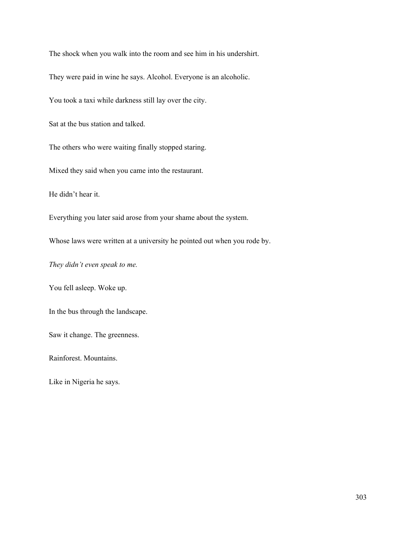The shock when you walk into the room and see him in his undershirt.

They were paid in wine he says. Alcohol. Everyone is an alcoholic.

You took a taxi while darkness still lay over the city.

Sat at the bus station and talked.

The others who were waiting finally stopped staring.

Mixed they said when you came into the restaurant.

He didn't hear it.

Everything you later said arose from your shame about the system.

Whose laws were written at a university he pointed out when you rode by.

*They didn't even speak to me.*

You fell asleep. Woke up.

In the bus through the landscape.

Saw it change. The greenness.

Rainforest. Mountains.

Like in Nigeria he says.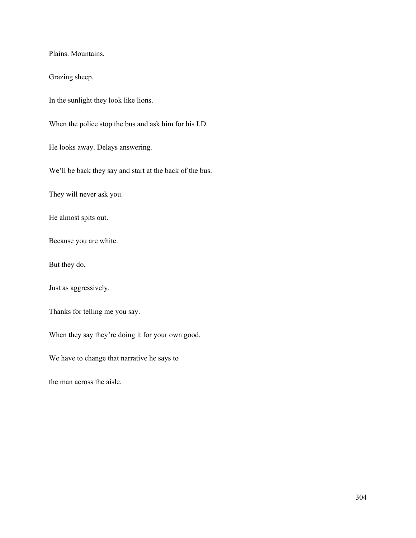Plains. Mountains.

Grazing sheep.

In the sunlight they look like lions.

When the police stop the bus and ask him for his I.D.

He looks away. Delays answering.

We'll be back they say and start at the back of the bus.

They will never ask you.

He almost spits out.

Because you are white.

But they do.

Just as aggressively.

Thanks for telling me you say.

When they say they're doing it for your own good.

We have to change that narrative he says to

the man across the aisle.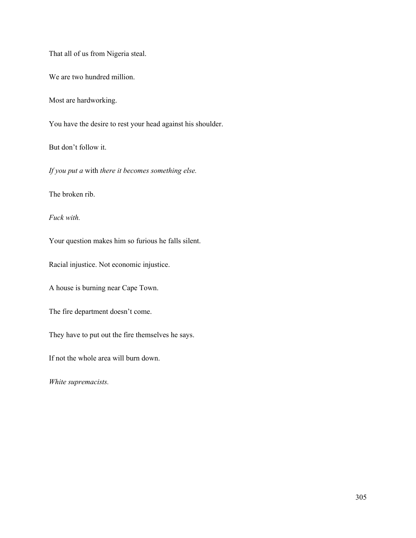That all of us from Nigeria steal.

We are two hundred million.

Most are hardworking.

You have the desire to rest your head against his shoulder.

But don't follow it.

*If you put a* with *there it becomes something else.*

The broken rib.

*Fuck with.*

Your question makes him so furious he falls silent.

Racial injustice. Not economic injustice.

A house is burning near Cape Town.

The fire department doesn't come.

They have to put out the fire themselves he says.

If not the whole area will burn down.

*White supremacists.*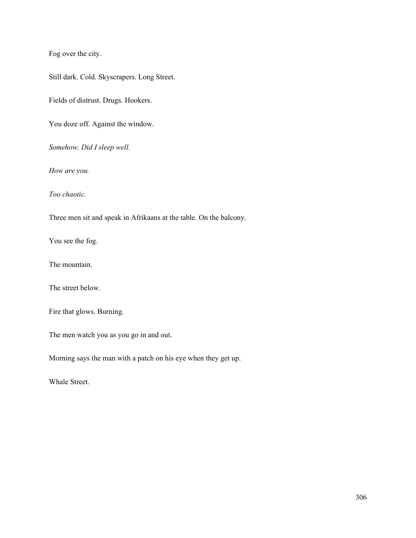Fog over the city.

Still dark. Cold. Skyscrapers. Long Street.

Fields of distrust. Drugs. Hookers.

You doze off. Against the window.

*Somehow. Did I sleep well.*

*How are you.*

*Too chaotic.*

Three men sit and speak in Afrikaans at the table. On the balcony.

You see the fog.

The mountain.

The street below.

Fire that glows. Burning.

The men watch you as you go in and out.

Morning says the man with a patch on his eye when they get up.

Whale Street.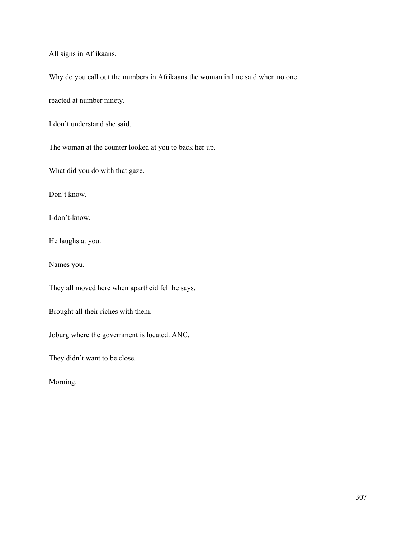All signs in Afrikaans.

Why do you call out the numbers in Afrikaans the woman in line said when no one

reacted at number ninety.

I don't understand she said.

The woman at the counter looked at you to back her up.

What did you do with that gaze.

Don't know.

I-don't-know.

He laughs at you.

Names you.

They all moved here when apartheid fell he says.

Brought all their riches with them.

Joburg where the government is located. ANC.

They didn't want to be close.

Morning.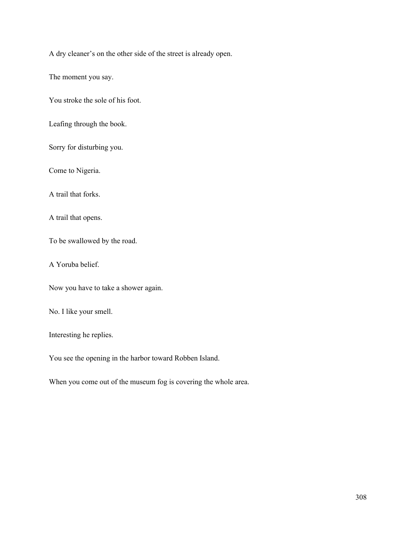A dry cleaner's on the other side of the street is already open.

The moment you say.

You stroke the sole of his foot.

Leafing through the book.

Sorry for disturbing you.

Come to Nigeria.

A trail that forks.

A trail that opens.

To be swallowed by the road.

A Yoruba belief.

Now you have to take a shower again.

No. I like your smell.

Interesting he replies.

You see the opening in the harbor toward Robben Island.

When you come out of the museum fog is covering the whole area.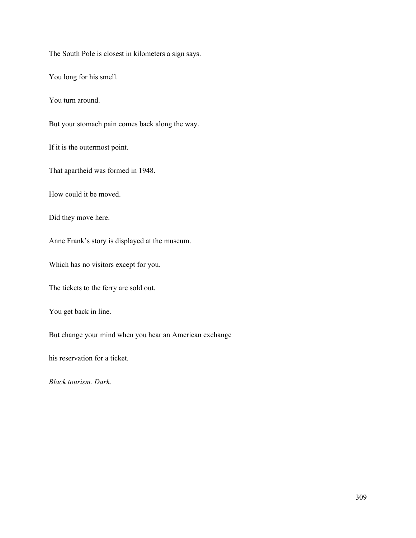The South Pole is closest in kilometers a sign says.

You long for his smell.

You turn around.

But your stomach pain comes back along the way.

If it is the outermost point.

That apartheid was formed in 1948.

How could it be moved.

Did they move here.

Anne Frank's story is displayed at the museum.

Which has no visitors except for you.

The tickets to the ferry are sold out.

You get back in line.

But change your mind when you hear an American exchange

his reservation for a ticket.

*Black tourism. Dark.*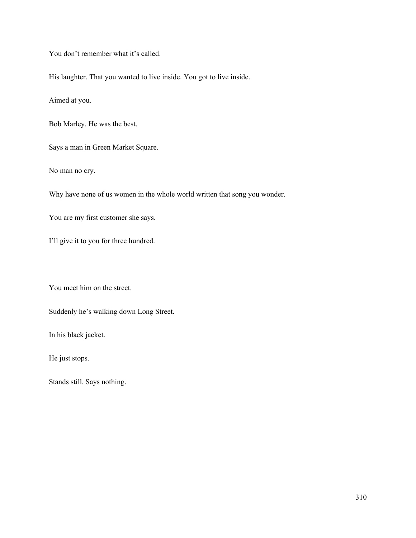You don't remember what it's called.

His laughter. That you wanted to live inside. You got to live inside.

Aimed at you.

Bob Marley. He was the best.

Says a man in Green Market Square.

No man no cry.

Why have none of us women in the whole world written that song you wonder.

You are my first customer she says.

I'll give it to you for three hundred.

You meet him on the street.

Suddenly he's walking down Long Street.

In his black jacket.

He just stops.

Stands still. Says nothing.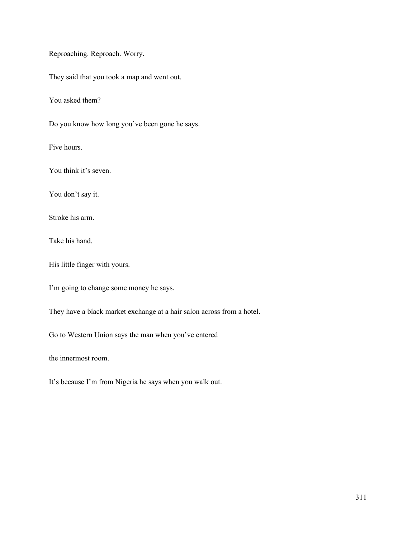Reproaching. Reproach. Worry.

They said that you took a map and went out.

You asked them?

Do you know how long you've been gone he says.

Five hours.

You think it's seven.

You don't say it.

Stroke his arm.

Take his hand.

His little finger with yours.

I'm going to change some money he says.

They have a black market exchange at a hair salon across from a hotel.

Go to Western Union says the man when you've entered

the innermost room.

It's because I'm from Nigeria he says when you walk out.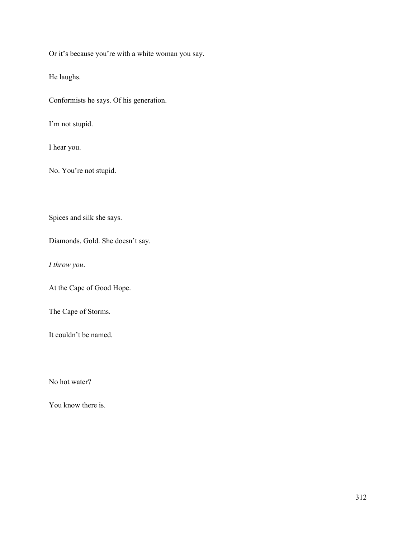Or it's because you're with a white woman you say.

He laughs.

Conformists he says. Of his generation.

I'm not stupid.

I hear you.

No. You're not stupid.

Spices and silk she says.

Diamonds. Gold. She doesn't say.

*I throw you*.

At the Cape of Good Hope.

The Cape of Storms.

It couldn't be named.

No hot water?

You know there is.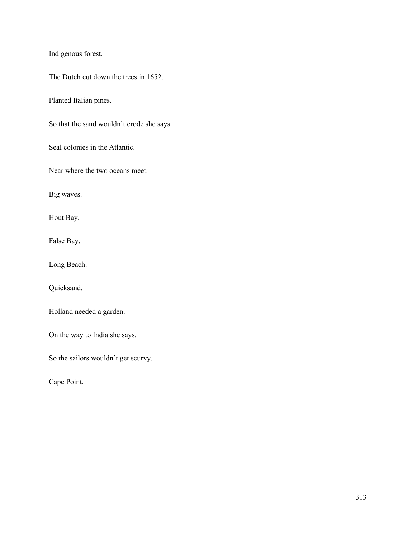Indigenous forest.

The Dutch cut down the trees in 1652.

Planted Italian pines.

So that the sand wouldn't erode she says.

Seal colonies in the Atlantic.

Near where the two oceans meet.

Big waves.

Hout Bay.

False Bay.

Long Beach.

Quicksand.

Holland needed a garden.

On the way to India she says.

So the sailors wouldn't get scurvy.

Cape Point.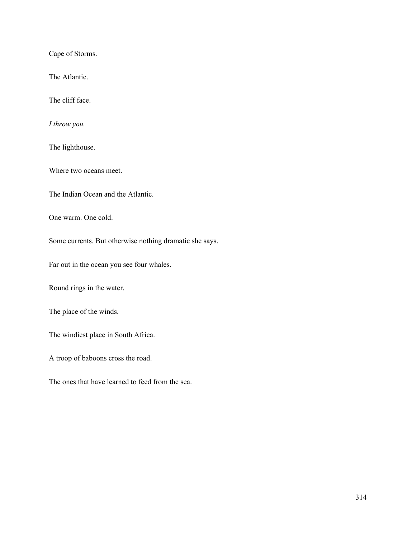Cape of Storms.

The Atlantic.

The cliff face.

*I throw you.*

The lighthouse.

Where two oceans meet.

The Indian Ocean and the Atlantic.

One warm. One cold.

Some currents. But otherwise nothing dramatic she says.

Far out in the ocean you see four whales.

Round rings in the water.

The place of the winds.

The windiest place in South Africa.

A troop of baboons cross the road.

The ones that have learned to feed from the sea.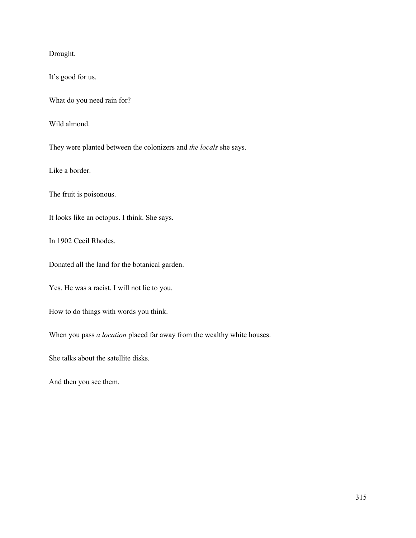Drought.

It's good for us.

What do you need rain for?

Wild almond.

They were planted between the colonizers and *the locals* she says.

Like a border.

The fruit is poisonous.

It looks like an octopus. I think. She says.

In 1902 Cecil Rhodes.

Donated all the land for the botanical garden.

Yes. He was a racist. I will not lie to you.

How to do things with words you think.

When you pass *a location* placed far away from the wealthy white houses.

She talks about the satellite disks.

And then you see them.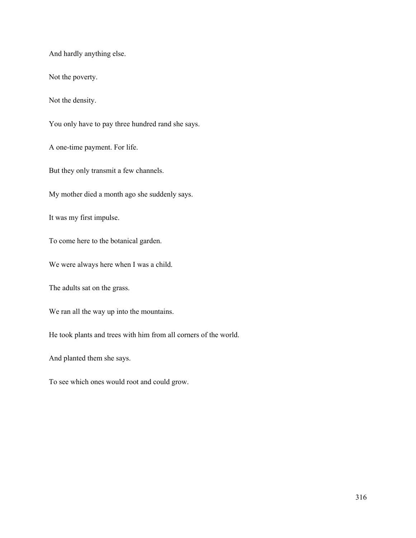And hardly anything else.

Not the poverty.

Not the density.

You only have to pay three hundred rand she says.

A one-time payment. For life.

But they only transmit a few channels.

My mother died a month ago she suddenly says.

It was my first impulse.

To come here to the botanical garden.

We were always here when I was a child.

The adults sat on the grass.

We ran all the way up into the mountains.

He took plants and trees with him from all corners of the world.

And planted them she says.

To see which ones would root and could grow.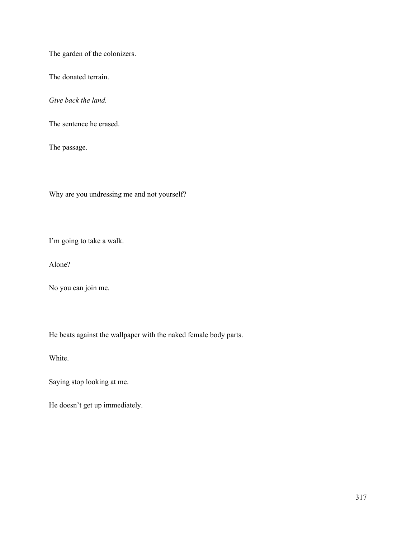The garden of the colonizers.

The donated terrain.

*Give back the land.*

The sentence he erased.

The passage.

Why are you undressing me and not yourself?

I'm going to take a walk.

Alone?

No you can join me.

He beats against the wallpaper with the naked female body parts.

White.

Saying stop looking at me.

He doesn't get up immediately.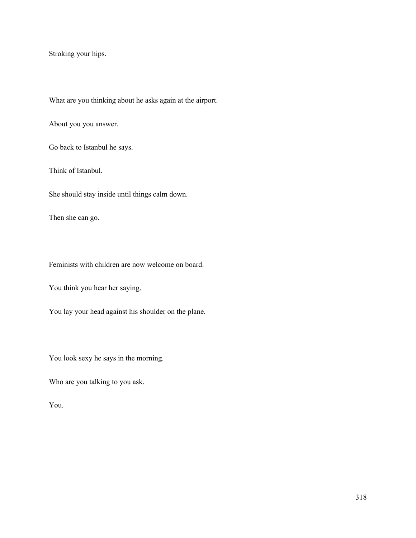Stroking your hips.

What are you thinking about he asks again at the airport.

About you you answer.

Go back to Istanbul he says.

Think of Istanbul.

She should stay inside until things calm down.

Then she can go.

Feminists with children are now welcome on board.

You think you hear her saying.

You lay your head against his shoulder on the plane.

You look sexy he says in the morning.

Who are you talking to you ask.

You.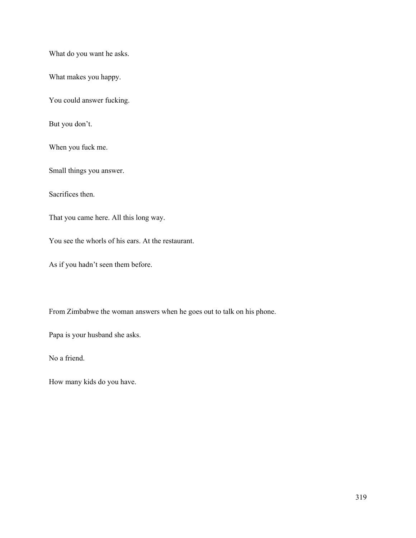What do you want he asks.

What makes you happy.

You could answer fucking.

But you don't.

When you fuck me.

Small things you answer.

Sacrifices then.

That you came here. All this long way.

You see the whorls of his ears. At the restaurant.

As if you hadn't seen them before.

From Zimbabwe the woman answers when he goes out to talk on his phone.

Papa is your husband she asks.

No a friend.

How many kids do you have.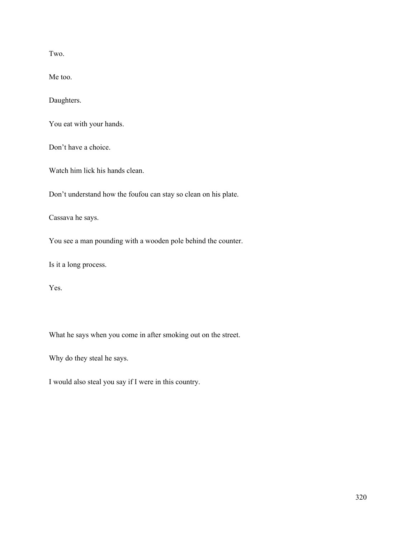Two.

Me too.

Daughters.

You eat with your hands.

Don't have a choice.

Watch him lick his hands clean.

Don't understand how the foufou can stay so clean on his plate.

Cassava he says.

You see a man pounding with a wooden pole behind the counter.

Is it a long process.

Yes.

What he says when you come in after smoking out on the street.

Why do they steal he says.

I would also steal you say if I were in this country.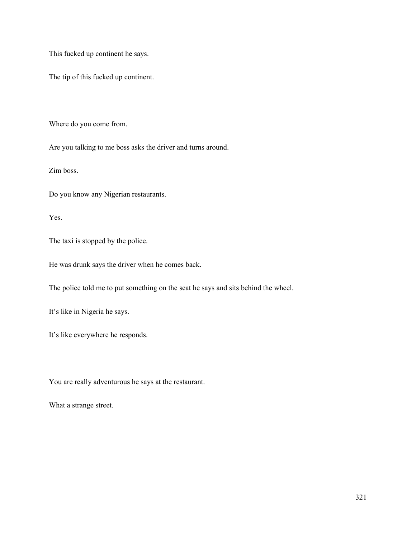This fucked up continent he says.

The tip of this fucked up continent.

Where do you come from.

Are you talking to me boss asks the driver and turns around.

Zim boss.

Do you know any Nigerian restaurants.

Yes.

The taxi is stopped by the police.

He was drunk says the driver when he comes back.

The police told me to put something on the seat he says and sits behind the wheel.

It's like in Nigeria he says.

It's like everywhere he responds.

You are really adventurous he says at the restaurant.

What a strange street.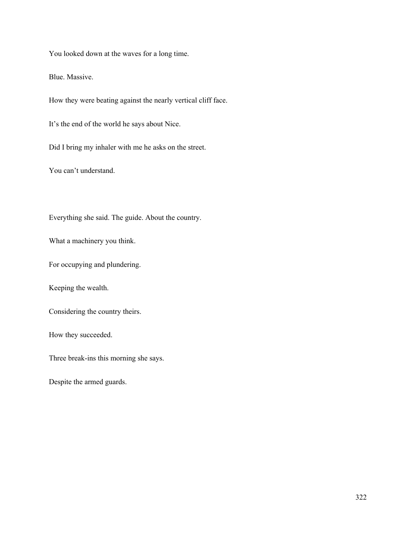You looked down at the waves for a long time.

Blue. Massive.

How they were beating against the nearly vertical cliff face.

It's the end of the world he says about Nice.

Did I bring my inhaler with me he asks on the street.

You can't understand.

Everything she said. The guide. About the country.

What a machinery you think.

For occupying and plundering.

Keeping the wealth.

Considering the country theirs.

How they succeeded.

Three break-ins this morning she says.

Despite the armed guards.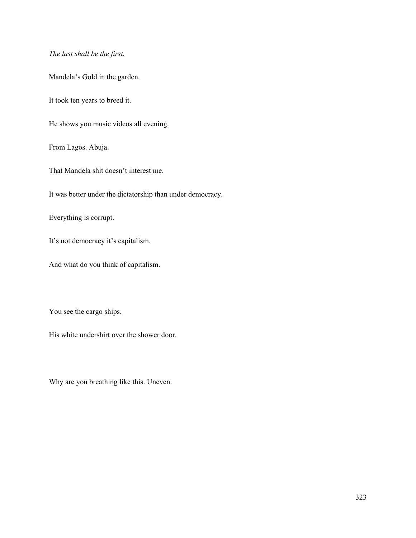*The last shall be the first.*

Mandela's Gold in the garden.

It took ten years to breed it.

He shows you music videos all evening.

From Lagos. Abuja.

That Mandela shit doesn't interest me.

It was better under the dictatorship than under democracy.

Everything is corrupt.

It's not democracy it's capitalism.

And what do you think of capitalism.

You see the cargo ships.

His white undershirt over the shower door.

Why are you breathing like this. Uneven.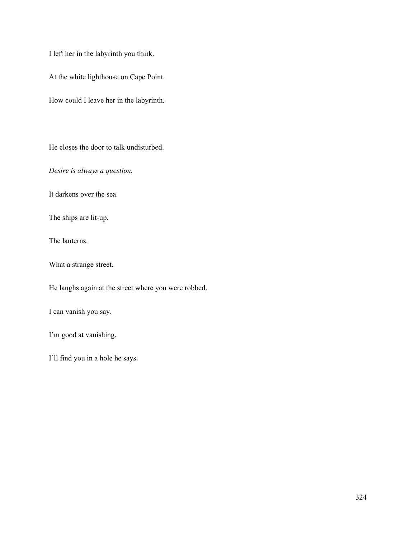I left her in the labyrinth you think.

At the white lighthouse on Cape Point.

How could I leave her in the labyrinth.

He closes the door to talk undisturbed.

*Desire is always a question.*

It darkens over the sea.

The ships are lit-up.

The lanterns.

What a strange street.

He laughs again at the street where you were robbed.

I can vanish you say.

I'm good at vanishing.

I'll find you in a hole he says.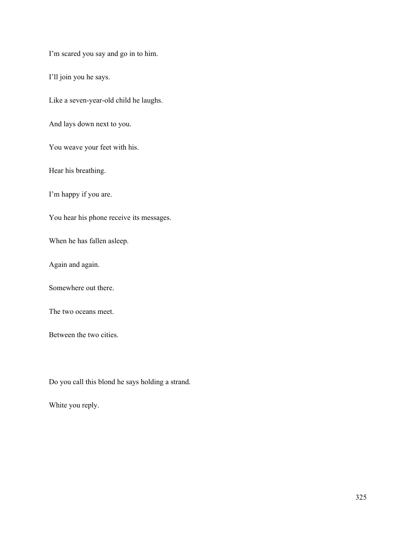I'm scared you say and go in to him.

I'll join you he says.

Like a seven-year-old child he laughs.

And lays down next to you.

You weave your feet with his.

Hear his breathing.

I'm happy if you are.

You hear his phone receive its messages.

When he has fallen asleep.

Again and again.

Somewhere out there.

The two oceans meet.

Between the two cities.

Do you call this blond he says holding a strand.

White you reply.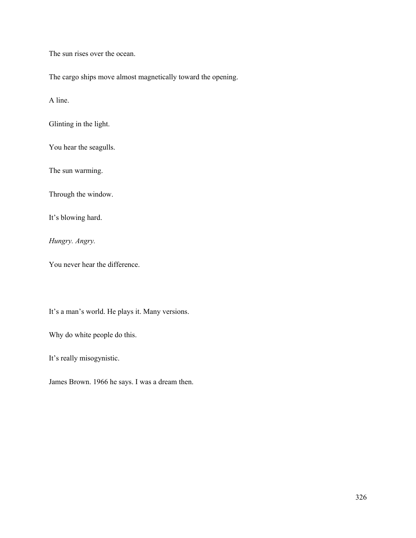The sun rises over the ocean.

The cargo ships move almost magnetically toward the opening.

A line.

Glinting in the light.

You hear the seagulls.

The sun warming.

Through the window.

It's blowing hard.

*Hungry. Angry.*

You never hear the difference.

It's a man's world. He plays it. Many versions.

Why do white people do this.

It's really misogynistic.

James Brown. 1966 he says. I was a dream then.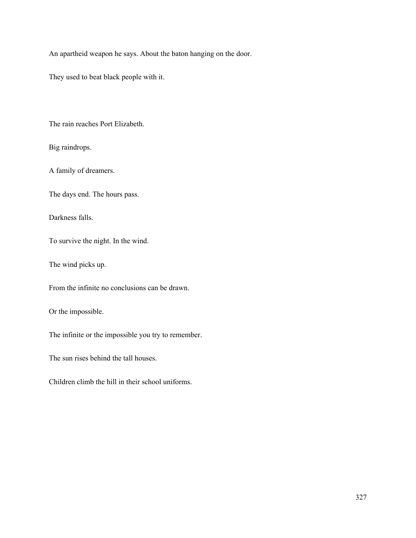An apartheid weapon he says. About the baton hanging on the door.

They used to beat black people with it.

The rain reaches Port Elizabeth.

Big raindrops.

A family of dreamers.

The days end. The hours pass.

Darkness falls.

To survive the night. In the wind.

The wind picks up.

From the infinite no conclusions can be drawn.

Or the impossible.

The infinite or the impossible you try to remember.

The sun rises behind the tall houses.

Children climb the hill in their school uniforms.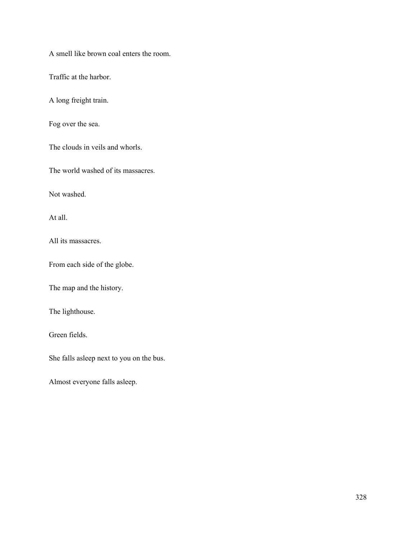A smell like brown coal enters the room.

Traffic at the harbor.

A long freight train.

Fog over the sea.

The clouds in veils and whorls.

The world washed of its massacres.

Not washed.

At all.

All its massacres.

From each side of the globe.

The map and the history.

The lighthouse.

Green fields.

She falls asleep next to you on the bus.

Almost everyone falls asleep.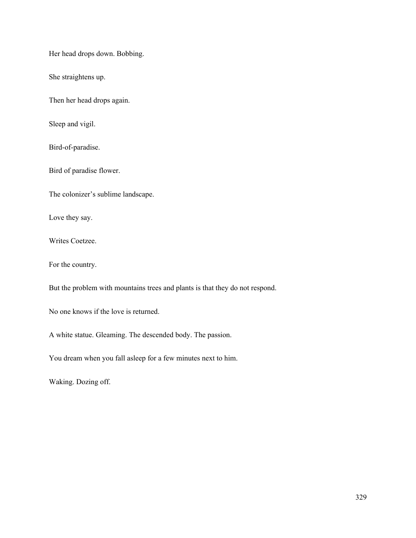Her head drops down. Bobbing.

She straightens up.

Then her head drops again.

Sleep and vigil.

Bird-of-paradise.

Bird of paradise flower.

The colonizer's sublime landscape.

Love they say.

Writes Coetzee.

For the country.

But the problem with mountains trees and plants is that they do not respond.

No one knows if the love is returned.

A white statue. Gleaming. The descended body. The passion.

You dream when you fall asleep for a few minutes next to him.

Waking. Dozing off.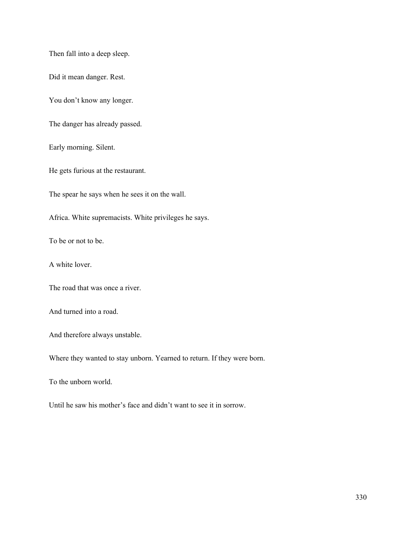Then fall into a deep sleep.

Did it mean danger. Rest.

You don't know any longer.

The danger has already passed.

Early morning. Silent.

He gets furious at the restaurant.

The spear he says when he sees it on the wall.

Africa. White supremacists. White privileges he says.

To be or not to be.

A white lover.

The road that was once a river.

And turned into a road.

And therefore always unstable.

Where they wanted to stay unborn. Yearned to return. If they were born.

To the unborn world.

Until he saw his mother's face and didn't want to see it in sorrow.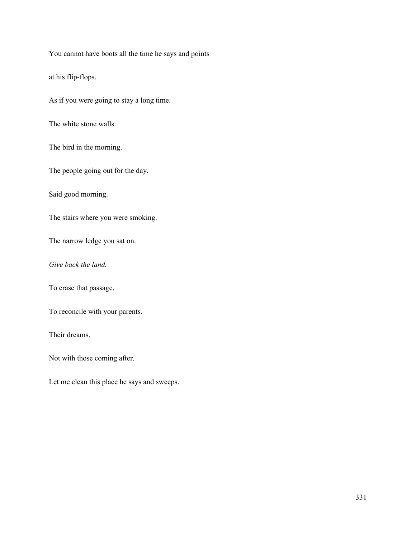You cannot have boots all the time he says and points

at his flip-flops.

As if you were going to stay a long time.

The white stone walls.

The bird in the morning.

The people going out for the day.

Said good morning.

The stairs where you were smoking.

The narrow ledge you sat on.

*Give back the land.*

To erase that passage.

To reconcile with your parents.

Their dreams.

Not with those coming after.

Let me clean this place he says and sweeps.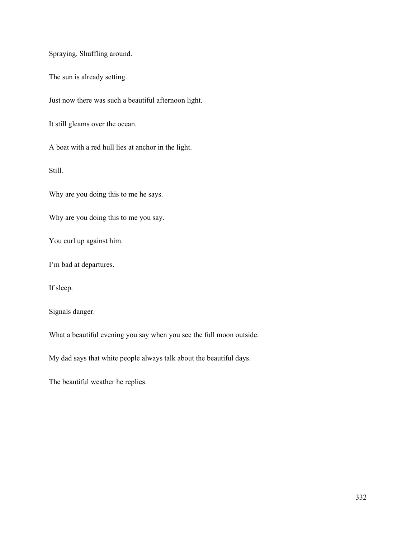Spraying. Shuffling around.

The sun is already setting.

Just now there was such a beautiful afternoon light.

It still gleams over the ocean.

A boat with a red hull lies at anchor in the light.

Still.

Why are you doing this to me he says.

Why are you doing this to me you say.

You curl up against him.

I'm bad at departures.

If sleep.

Signals danger.

What a beautiful evening you say when you see the full moon outside.

My dad says that white people always talk about the beautiful days.

The beautiful weather he replies.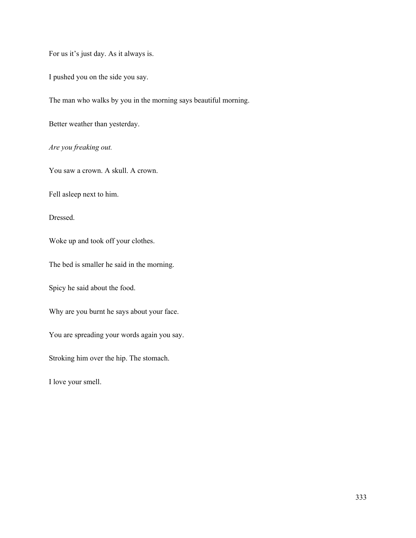For us it's just day. As it always is.

I pushed you on the side you say.

The man who walks by you in the morning says beautiful morning.

Better weather than yesterday.

*Are you freaking out.*

You saw a crown. A skull. A crown.

Fell asleep next to him.

Dressed.

Woke up and took off your clothes.

The bed is smaller he said in the morning.

Spicy he said about the food.

Why are you burnt he says about your face.

You are spreading your words again you say.

Stroking him over the hip. The stomach.

I love your smell.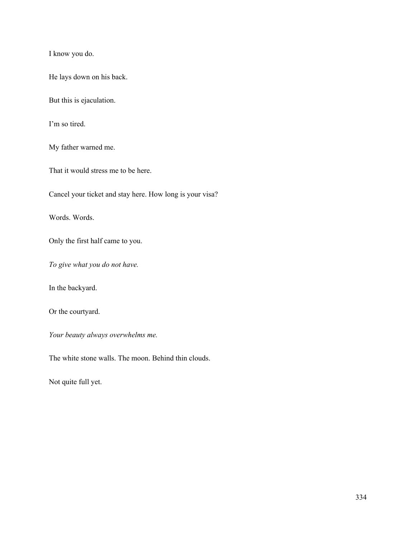I know you do.

He lays down on his back.

But this is ejaculation.

I'm so tired.

My father warned me.

That it would stress me to be here.

Cancel your ticket and stay here. How long is your visa?

Words. Words.

Only the first half came to you.

*To give what you do not have.*

In the backyard.

Or the courtyard.

*Your beauty always overwhelms me.*

The white stone walls. The moon. Behind thin clouds.

Not quite full yet.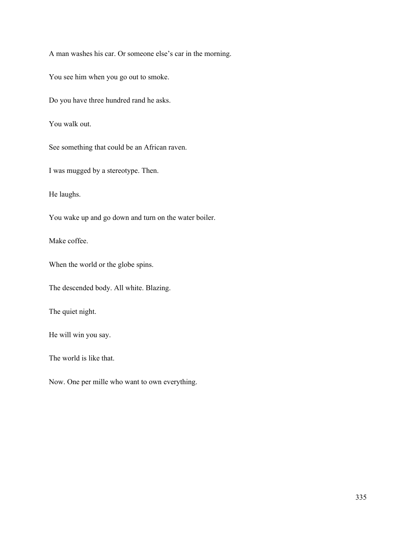A man washes his car. Or someone else's car in the morning.

You see him when you go out to smoke.

Do you have three hundred rand he asks.

You walk out.

See something that could be an African raven.

I was mugged by a stereotype. Then.

He laughs.

You wake up and go down and turn on the water boiler.

Make coffee.

When the world or the globe spins.

The descended body. All white. Blazing.

The quiet night.

He will win you say.

The world is like that.

Now. One per mille who want to own everything.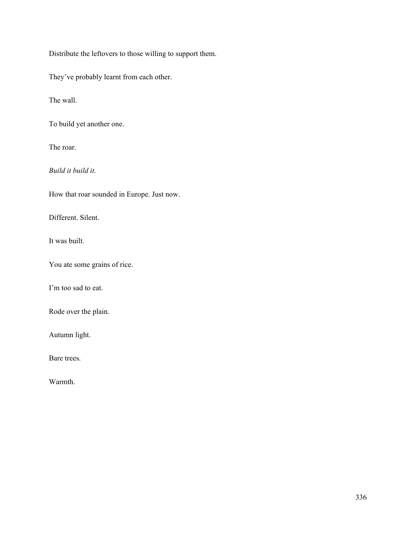Distribute the leftovers to those willing to support them.

They've probably learnt from each other.

The wall.

To build yet another one.

The roar.

*Build it build it.*

How that roar sounded in Europe. Just now.

Different. Silent.

It was built.

You ate some grains of rice.

I'm too sad to eat.

Rode over the plain.

Autumn light.

Bare trees.

Warmth.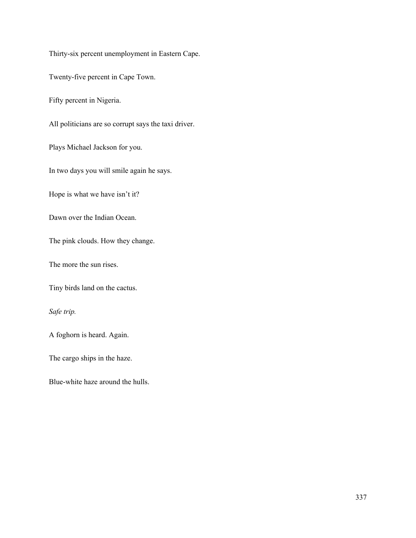Thirty-six percent unemployment in Eastern Cape. Twenty-five percent in Cape Town. Fifty percent in Nigeria. All politicians are so corrupt says the taxi driver. Plays Michael Jackson for you. In two days you will smile again he says. Hope is what we have isn't it? Dawn over the Indian Ocean. The pink clouds. How they change. The more the sun rises. Tiny birds land on the cactus. *Safe trip.* A foghorn is heard. Again. The cargo ships in the haze.

Blue-white haze around the hulls.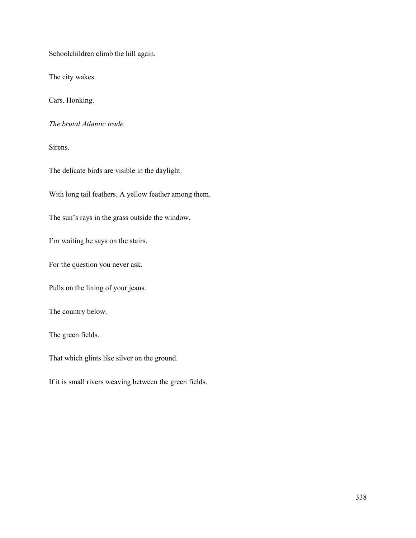Schoolchildren climb the hill again.

The city wakes.

Cars. Honking.

*The brutal Atlantic trade.*

Sirens.

The delicate birds are visible in the daylight.

With long tail feathers. A yellow feather among them.

The sun's rays in the grass outside the window.

I'm waiting he says on the stairs.

For the question you never ask.

Pulls on the lining of your jeans.

The country below.

The green fields.

That which glints like silver on the ground.

If it is small rivers weaving between the green fields.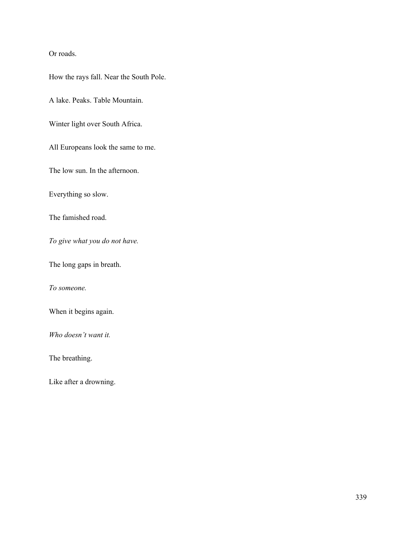Or roads.

How the rays fall. Near the South Pole.

A lake. Peaks. Table Mountain.

Winter light over South Africa.

All Europeans look the same to me.

The low sun. In the afternoon.

Everything so slow.

The famished road.

*To give what you do not have.*

The long gaps in breath.

*To someone.*

When it begins again.

*Who doesn't want it.*

The breathing.

Like after a drowning.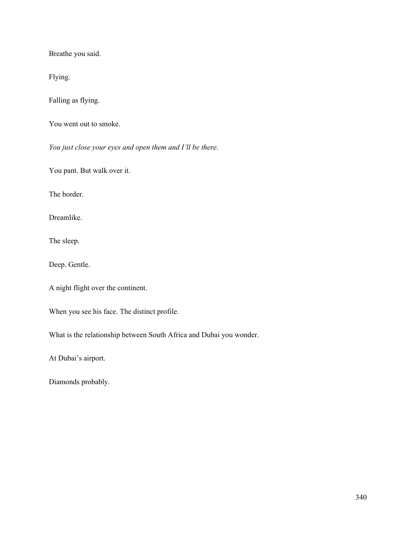Breathe you said.

Flying.

Falling as flying.

You went out to smoke.

*You just close your eyes and open them and I'll be there.*

You pant. But walk over it.

The border.

Dreamlike.

The sleep.

Deep. Gentle.

A night flight over the continent.

When you see his face. The distinct profile.

What is the relationship between South Africa and Dubai you wonder.

At Dubai's airport.

Diamonds probably.